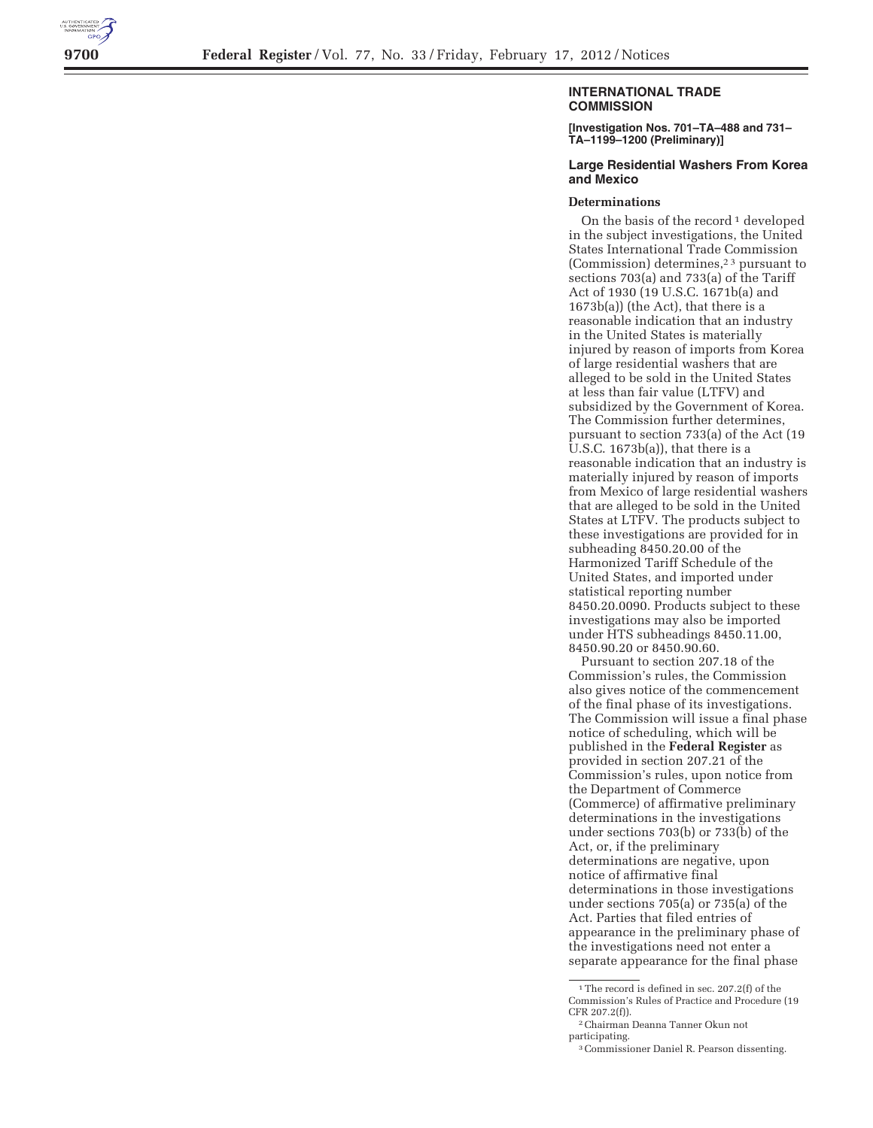

## **INTERNATIONAL TRADE COMMISSION**

**[Investigation Nos. 701–TA–488 and 731– TA–1199–1200 (Preliminary)]** 

## **Large Residential Washers From Korea and Mexico**

## **Determinations**

On the basis of the record  $\frac{1}{1}$  developed in the subject investigations, the United States International Trade Commission (Commission) determines,2 3 pursuant to sections 703(a) and 733(a) of the Tariff Act of 1930 (19 U.S.C. 1671b(a) and 1673b(a)) (the Act), that there is a reasonable indication that an industry in the United States is materially injured by reason of imports from Korea of large residential washers that are alleged to be sold in the United States at less than fair value (LTFV) and subsidized by the Government of Korea. The Commission further determines, pursuant to section 733(a) of the Act (19 U.S.C. 1673b(a)), that there is a reasonable indication that an industry is materially injured by reason of imports from Mexico of large residential washers that are alleged to be sold in the United States at LTFV. The products subject to these investigations are provided for in subheading 8450.20.00 of the Harmonized Tariff Schedule of the United States, and imported under statistical reporting number 8450.20.0090. Products subject to these investigations may also be imported under HTS subheadings 8450.11.00, 8450.90.20 or 8450.90.60.

Pursuant to section 207.18 of the Commission's rules, the Commission also gives notice of the commencement of the final phase of its investigations. The Commission will issue a final phase notice of scheduling, which will be published in the **Federal Register** as provided in section 207.21 of the Commission's rules, upon notice from the Department of Commerce (Commerce) of affirmative preliminary determinations in the investigations under sections 703(b) or 733(b) of the Act, or, if the preliminary determinations are negative, upon notice of affirmative final determinations in those investigations under sections 705(a) or 735(a) of the Act. Parties that filed entries of appearance in the preliminary phase of the investigations need not enter a separate appearance for the final phase

<sup>&</sup>lt;sup>1</sup>The record is defined in sec. 207.2(f) of the Commission's Rules of Practice and Procedure (19 CFR 207.2(f)).

<sup>2</sup>Chairman Deanna Tanner Okun not participating.

<sup>3</sup>Commissioner Daniel R. Pearson dissenting.